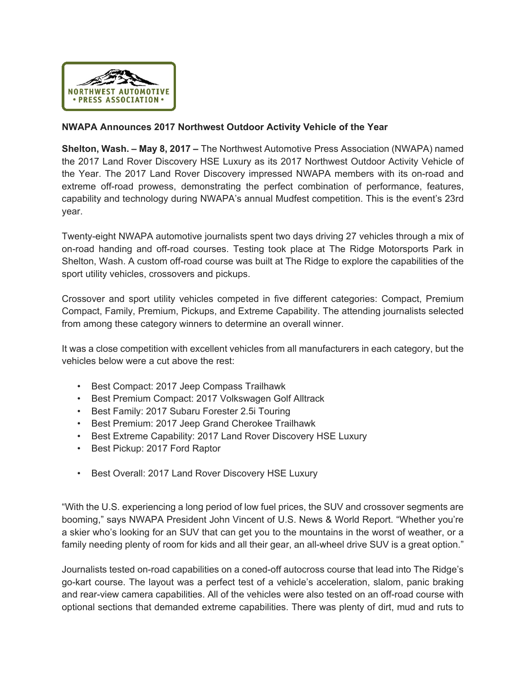

## **NWAPA Announces 2017 Northwest Outdoor Activity Vehicle of the Year**

**Shelton, Wash. – May 8, 2017 –** The Northwest Automotive Press Association (NWAPA) named the 2017 Land Rover Discovery HSE Luxury as its 2017 Northwest Outdoor Activity Vehicle of the Year. The 2017 Land Rover Discovery impressed NWAPA members with its on-road and extreme off-road prowess, demonstrating the perfect combination of performance, features, capability and technology during NWAPA's annual Mudfest competition. This is the event's 23rd year.

Twenty-eight NWAPA automotive journalists spent two days driving 27 vehicles through a mix of on-road handing and off-road courses. Testing took place at The Ridge Motorsports Park in Shelton, Wash. A custom off-road course was built at The Ridge to explore the capabilities of the sport utility vehicles, crossovers and pickups.

Crossover and sport utility vehicles competed in five different categories: Compact, Premium Compact, Family, Premium, Pickups, and Extreme Capability. The attending journalists selected from among these category winners to determine an overall winner.

It was a close competition with excellent vehicles from all manufacturers in each category, but the vehicles below were a cut above the rest:

- Best Compact: 2017 Jeep Compass Trailhawk
- Best Premium Compact: 2017 Volkswagen Golf Alltrack
- Best Family: 2017 Subaru Forester 2.5i Touring
- Best Premium: 2017 Jeep Grand Cherokee Trailhawk
- Best Extreme Capability: 2017 Land Rover Discovery HSE Luxury
- Best Pickup: 2017 Ford Raptor
- Best Overall: 2017 Land Rover Discovery HSE Luxury

"With the U.S. experiencing a long period of low fuel prices, the SUV and crossover segments are booming," says NWAPA President John Vincent of U.S. News & World Report. "Whether you're a skier who's looking for an SUV that can get you to the mountains in the worst of weather, or a family needing plenty of room for kids and all their gear, an all-wheel drive SUV is a great option."

Journalists tested on-road capabilities on a coned-off autocross course that lead into The Ridge's go-kart course. The layout was a perfect test of a vehicle's acceleration, slalom, panic braking and rear-view camera capabilities. All of the vehicles were also tested on an off-road course with optional sections that demanded extreme capabilities. There was plenty of dirt, mud and ruts to